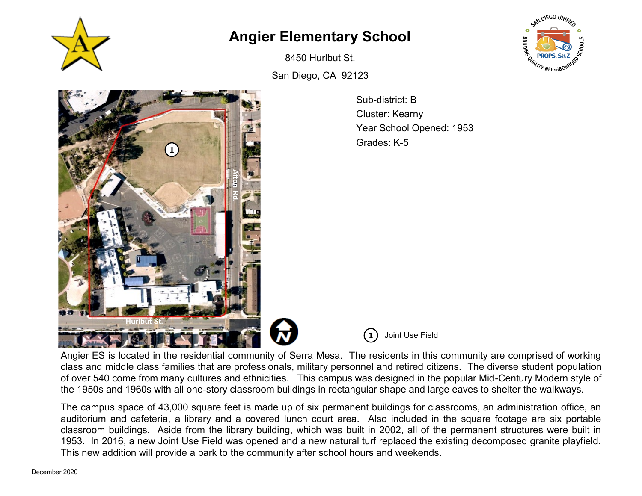

## **Angier Elementary School**

8450 Hurlbut St.

San Diego, CA 92123

Sub-district: B Cluster: Kearny Year School Opened: 1953 Grades: K-5



**1** Joint Use Field

Angier ES is located in the residential community of Serra Mesa. The residents in this community are comprised of working class and middle class families that are professionals, military personnel and retired citizens. The diverse student population of over 540 come from many cultures and ethnicities. This campus was designed in the popular Mid-Century Modern style of the 1950s and 1960s with all one-story classroom buildings in rectangular shape and large eaves to shelter the walkways.

The campus space of 43,000 square feet is made up of six permanent buildings for classrooms, an administration office, an auditorium and cafeteria, a library and a covered lunch court area. Also included in the square footage are six portable classroom buildings. Aside from the library building, which was built in 2002, all of the permanent structures were built in 1953. In 2016, a new Joint Use Field was opened and a new natural turf replaced the existing decomposed granite playfield. This new addition will provide a park to the community after school hours and weekends.

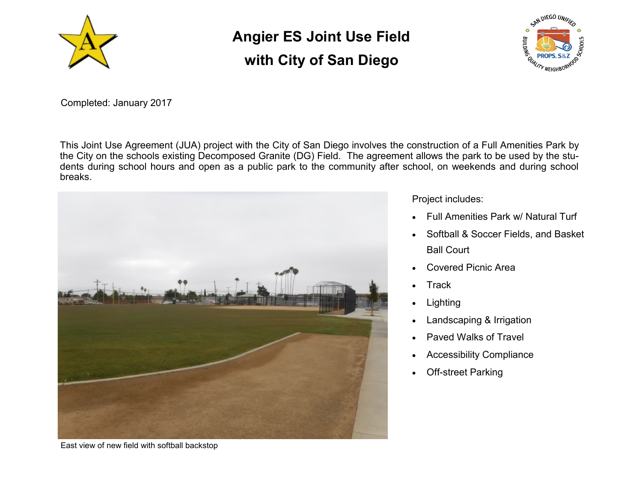

## **Angier ES Joint Use Field with City of San Diego**



Completed: January 2017

This Joint Use Agreement (JUA) project with the City of San Diego involves the construction of a Full Amenities Park by the City on the schools existing Decomposed Granite (DG) Field. The agreement allows the park to be used by the students during school hours and open as a public park to the community after school, on weekends and during school breaks.



Project includes:

- Full Amenities Park w/ Natural Turf
- Softball & Soccer Fields, and Basket Ball Court
- Covered Picnic Area
- Track
- **Lighting**
- Landscaping & Irrigation
- Paved Walks of Travel
- Accessibility Compliance
- **Off-street Parking**

East view of new field with softball backstop